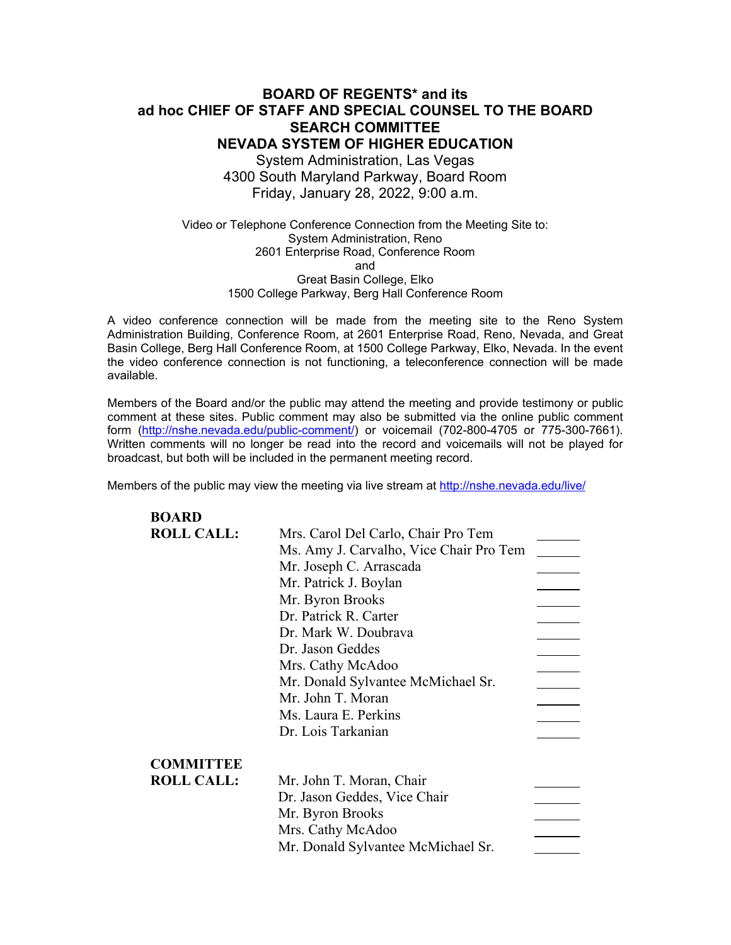# **BOARD OF REGENTS\* and its ad hoc CHIEF OF STAFF AND SPECIAL COUNSEL TO THE BOARD SEARCH COMMITTEE NEVADA SYSTEM OF HIGHER EDUCATION**

System Administration, Las Vegas 4300 South Maryland Parkway, Board Room Friday, January 28, 2022, 9:00 a.m.

Video or Telephone Conference Connection from the Meeting Site to: System Administration, Reno 2601 Enterprise Road, Conference Room and Great Basin College, Elko 1500 College Parkway, Berg Hall Conference Room

A video conference connection will be made from the meeting site to the Reno System Administration Building, Conference Room, at 2601 Enterprise Road, Reno, Nevada, and Great Basin College, Berg Hall Conference Room, at 1500 College Parkway, Elko, Nevada. In the event the video conference connection is not functioning, a teleconference connection will be made available.

Members of the Board and/or the public may attend the meeting and provide testimony or public comment at these sites. Public comment may also be submitted via the online public comment form [\(http://nshe.nevada.edu/public-comment/\)](http://nshe.nevada.edu/public-comment/) or voicemail (702-800-4705 or 775-300-7661). Written comments will no longer be read into the record and voicemails will not be played for broadcast, but both will be included in the permanent meeting record.

Members of the public may view the meeting via live stream at <http://nshe.nevada.edu/live/>

| <b>BOARD</b>      |                                         |  |
|-------------------|-----------------------------------------|--|
| <b>ROLL CALL:</b> | Mrs. Carol Del Carlo, Chair Pro Tem     |  |
|                   | Ms. Amy J. Carvalho, Vice Chair Pro Tem |  |
|                   | Mr. Joseph C. Arrascada                 |  |
|                   | Mr. Patrick J. Boylan                   |  |
|                   | Mr. Byron Brooks                        |  |
|                   | Dr. Patrick R. Carter                   |  |
|                   | Dr. Mark W. Doubrava                    |  |
|                   | Dr. Jason Geddes                        |  |
|                   | Mrs. Cathy McAdoo                       |  |
|                   | Mr. Donald Sylvantee McMichael Sr.      |  |
|                   | Mr. John T. Moran                       |  |
|                   | Ms. Laura E. Perkins                    |  |
|                   | Dr. Lois Tarkanian                      |  |
| <b>COMMITTEE</b>  |                                         |  |
| <b>ROLL CALL:</b> | Mr. John T. Moran, Chair                |  |
|                   | Dr. Jason Geddes, Vice Chair            |  |
|                   | Mr. Byron Brooks                        |  |
|                   | Mrs. Cathy McAdoo                       |  |
|                   | Mr. Donald Sylvantee McMichael Sr.      |  |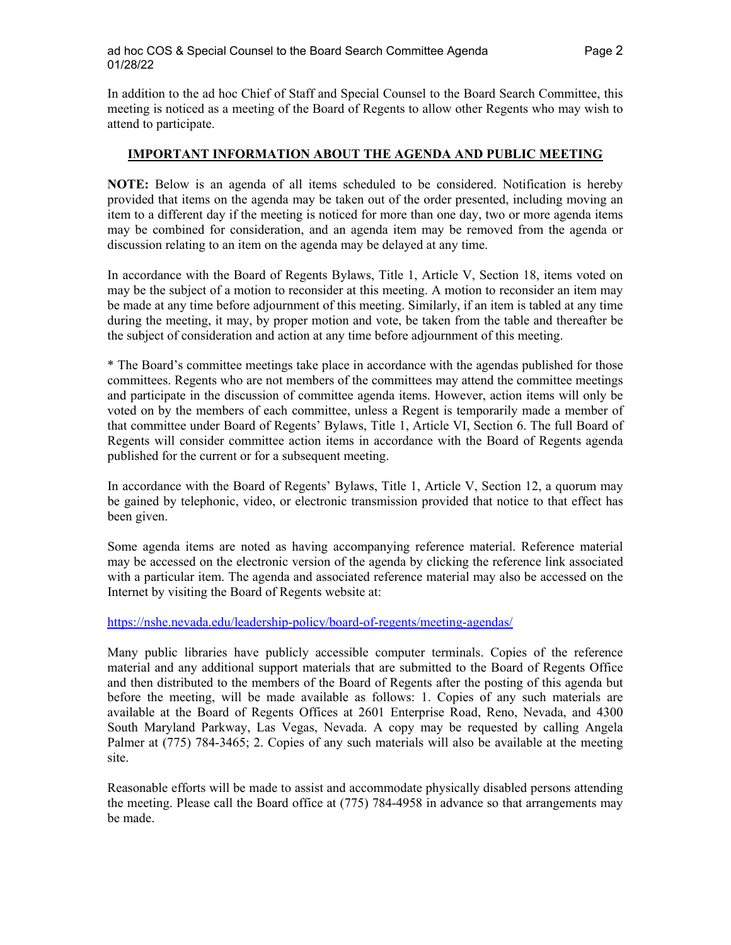In addition to the ad hoc Chief of Staff and Special Counsel to the Board Search Committee, this meeting is noticed as a meeting of the Board of Regents to allow other Regents who may wish to attend to participate.

### **IMPORTANT INFORMATION ABOUT THE AGENDA AND PUBLIC MEETING**

**NOTE:** Below is an agenda of all items scheduled to be considered. Notification is hereby provided that items on the agenda may be taken out of the order presented, including moving an item to a different day if the meeting is noticed for more than one day, two or more agenda items may be combined for consideration, and an agenda item may be removed from the agenda or discussion relating to an item on the agenda may be delayed at any time.

In accordance with the Board of Regents Bylaws, Title 1, Article V, Section 18, items voted on may be the subject of a motion to reconsider at this meeting. A motion to reconsider an item may be made at any time before adjournment of this meeting. Similarly, if an item is tabled at any time during the meeting, it may, by proper motion and vote, be taken from the table and thereafter be the subject of consideration and action at any time before adjournment of this meeting.

\* The Board's committee meetings take place in accordance with the agendas published for those committees. Regents who are not members of the committees may attend the committee meetings and participate in the discussion of committee agenda items. However, action items will only be voted on by the members of each committee, unless a Regent is temporarily made a member of that committee under Board of Regents' Bylaws, Title 1, Article VI, Section 6. The full Board of Regents will consider committee action items in accordance with the Board of Regents agenda published for the current or for a subsequent meeting.

In accordance with the Board of Regents' Bylaws, Title 1, Article V, Section 12, a quorum may be gained by telephonic, video, or electronic transmission provided that notice to that effect has been given.

Some agenda items are noted as having accompanying reference material. Reference material may be accessed on the electronic version of the agenda by clicking the reference link associated with a particular item. The agenda and associated reference material may also be accessed on the Internet by visiting the Board of Regents website at:

### <https://nshe.nevada.edu/leadership-policy/board-of-regents/meeting-agendas/>

Many public libraries have publicly accessible computer terminals. Copies of the reference material and any additional support materials that are submitted to the Board of Regents Office and then distributed to the members of the Board of Regents after the posting of this agenda but before the meeting, will be made available as follows: 1. Copies of any such materials are available at the Board of Regents Offices at 2601 Enterprise Road, Reno, Nevada, and 4300 South Maryland Parkway, Las Vegas, Nevada. A copy may be requested by calling Angela Palmer at (775) 784-3465; 2. Copies of any such materials will also be available at the meeting site.

Reasonable efforts will be made to assist and accommodate physically disabled persons attending the meeting. Please call the Board office at (775) 784-4958 in advance so that arrangements may be made.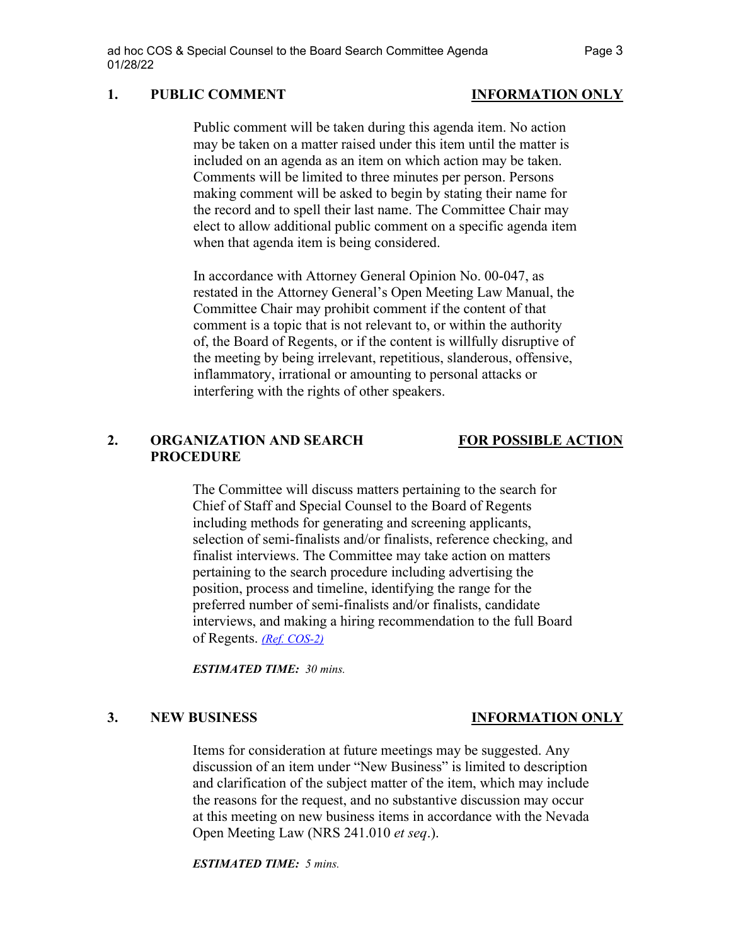# **1. PUBLIC COMMENT INFORMATION ONLY**

Public comment will be taken during this agenda item. No action may be taken on a matter raised under this item until the matter is included on an agenda as an item on which action may be taken. Comments will be limited to three minutes per person. Persons making comment will be asked to begin by stating their name for the record and to spell their last name. The Committee Chair may elect to allow additional public comment on a specific agenda item when that agenda item is being considered.

In accordance with Attorney General Opinion No. 00-047, as restated in the Attorney General's Open Meeting Law Manual, the Committee Chair may prohibit comment if the content of that comment is a topic that is not relevant to, or within the authority of, the Board of Regents, or if the content is willfully disruptive of the meeting by being irrelevant, repetitious, slanderous, offensive, inflammatory, irrational or amounting to personal attacks or interfering with the rights of other speakers.

## **2. ORGANIZATION AND SEARCH FOR POSSIBLE ACTION PROCEDURE**

The Committee will discuss matters pertaining to the search for Chief of Staff and Special Counsel to the Board of Regents including methods for generating and screening applicants, selection of semi-finalists and/or finalists, reference checking, and finalist interviews. The Committee may take action on matters pertaining to the search procedure including advertising the position, process and timeline, identifying the range for the preferred number of semi-finalists and/or finalists, candidate interviews, and making a hiring recommendation to the full Board of Regents. *[\(Ref. COS-2\)](https://nshe.nevada.edu/wp-content/uploads/file/BoardOfRegents/Agendas/2022/01-jan-mtgs/cos-refs/COS-2.pdf)*

*ESTIMATED TIME: 30 mins.*

### **3. NEW BUSINESS INFORMATION ONLY**

Items for consideration at future meetings may be suggested. Any discussion of an item under "New Business" is limited to description and clarification of the subject matter of the item, which may include the reasons for the request, and no substantive discussion may occur at this meeting on new business items in accordance with the Nevada Open Meeting Law (NRS 241.010 *et seq*.).

*ESTIMATED TIME: 5 mins.*